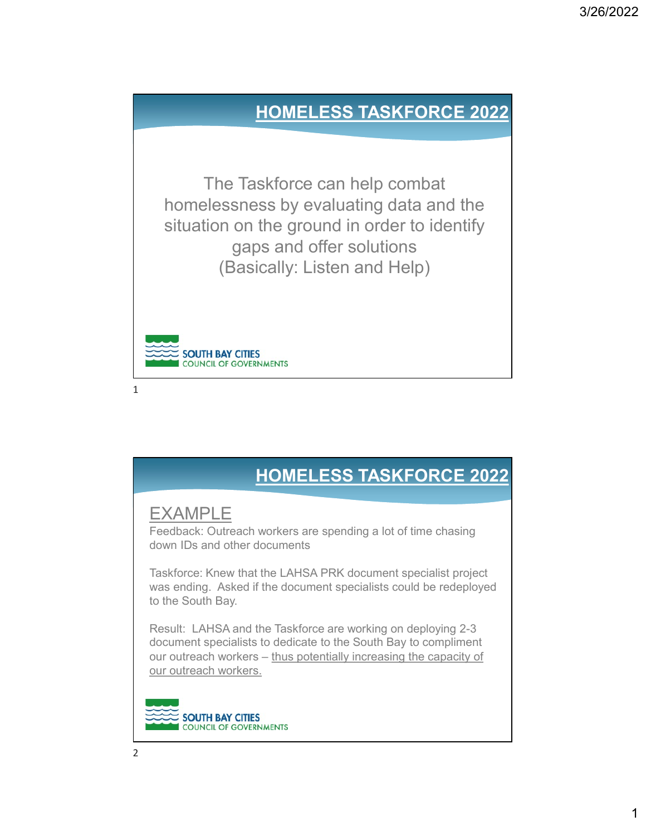#### HOMELESS TASKFORCE 2022

 $\frac{1}{2}$  valuating uata and the  $\frac{1}{2}$ The Taskforce can help combat homelessness by evaluating data and the situation on the ground in order to identify gaps and offer solutions (Basically: Listen and Help)



 $1$ 

## HOMELESS TASKFORCE 2022

#### EXAMPLE

Feedback: Outreach workers are spending a lot of time chasing down IDs and other documents

Taskforce: Knew that the LAHSA PRK document specialist project<br>was ending. Asked if the document specialists could be redeployed Taskforce: Knew that the LAHSA PRK document specialist project to the South Bay.

Result: LAHSA and the Taskforce are working on deploying 2-3 document specialists to dedicate to the South Bay to compliment **HOMELESS TASKFORCE 2022**<br> **EXAMPLE**<br>
Feedback: Outreach workers are spending a lot of time chasing<br>
down IDs and other documents<br>
Taskforce: Knew that the LAHSA PRK document specialist project<br>
was ending. Asked if the do our outreach workers.

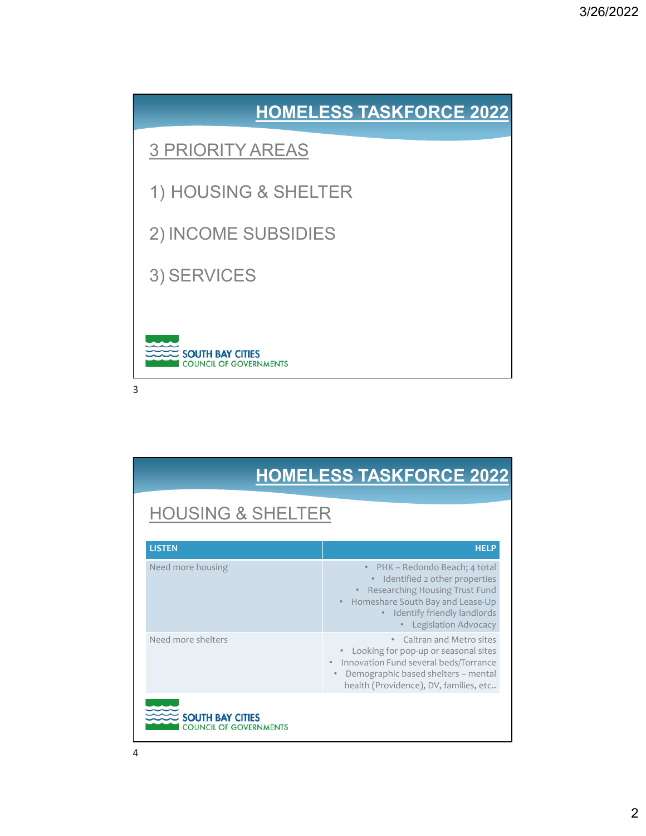

| <b>SOUTH BAY CITIES</b><br><b>COUNCIL OF GOVERNMENTS</b><br>3 |                                                                                                                                                                                                        |
|---------------------------------------------------------------|--------------------------------------------------------------------------------------------------------------------------------------------------------------------------------------------------------|
|                                                               | <b>HOMELESS TASKFORCE 2022</b>                                                                                                                                                                         |
| <b>HOUSING &amp; SHELTER</b>                                  |                                                                                                                                                                                                        |
| <b>LISTEN</b>                                                 | <b>HELP</b>                                                                                                                                                                                            |
| Need more housing                                             | • PHK - Redondo Beach; 4 total<br>• Identified 2 other properties<br>• Researching Housing Trust Fund<br>• Homeshare South Bay and Lease-Up<br>· Identify friendly landlords<br>• Legislation Advocacy |
| Need more shelters                                            | • Caltran and Metro sites<br>• Looking for pop-up or seasonal sites<br>• Innovation Fund several beds/Torrance<br>· Demographic based shelters - mental<br>health (Providence), DV, families, etc      |
| <b>SOUTH BAY CITIES</b><br>OUNCIL OF GOVERNMENTS              |                                                                                                                                                                                                        |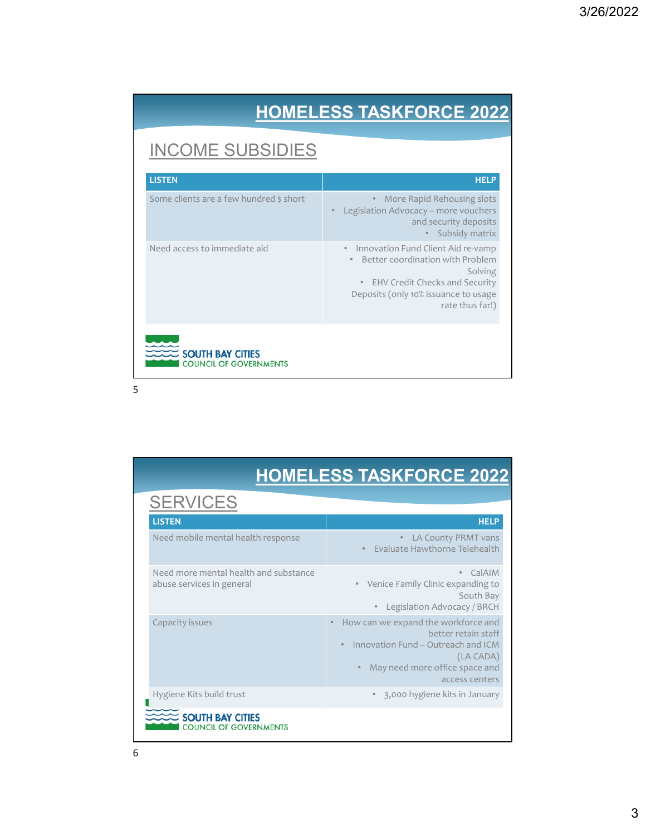# HOMELESS TASKFORCE 2022

## INCOME SUBSIDIES

|                                         | <b>HOMELESS TASKFORCE 2022</b>                                                                                                                                                       |
|-----------------------------------------|--------------------------------------------------------------------------------------------------------------------------------------------------------------------------------------|
| <b>INCOME SUBSIDIES</b>                 |                                                                                                                                                                                      |
| <b>LISTEN</b>                           | <b>HELP</b>                                                                                                                                                                          |
| Some clients are a few hundred \$ short | • More Rapid Rehousing slots<br>• Legislation Advocacy - more vouchers<br>and security deposits<br>• Subsidy matrix                                                                  |
| Need access to immediate aid            | • Innovation Fund Client Aid re-vamp<br>• Better coordination with Problem<br>Solving<br>• EHV Credit Checks and Security<br>Deposits (only 10% issuance to usage<br>rate thus far!) |
| <b>SOUTH BAY CITIES</b>                 |                                                                                                                                                                                      |

|                                                                    | • Better coordination with Problem<br>Solving<br>• EHV Credit Checks and Security<br>Deposits (only 10% issuance to usage<br>rate thus far!) |
|--------------------------------------------------------------------|----------------------------------------------------------------------------------------------------------------------------------------------|
| <b>SOUTH BAY CITIES</b><br><b>COUNCIL OF GOVERNMENTS</b>           |                                                                                                                                              |
|                                                                    |                                                                                                                                              |
|                                                                    | <b>HOMELESS TASKFORCE 2022</b>                                                                                                               |
| <b>SERVICES</b>                                                    |                                                                                                                                              |
| <b>LISTEN</b>                                                      | <b>HELP</b>                                                                                                                                  |
| Need mobile mental health response                                 | • LA County PRMT vans<br>• Evaluate Hawthorne Telehealth                                                                                     |
| Need more mental health and substance<br>abuse services in general | • CalAIM<br>• Venice Family Clinic expanding to<br>South Bay<br>• Legislation Advocacy / BRCH                                                |
| Capacity issues                                                    | • How can we expand the workforce and<br>better retain staff<br>• Innovation Fund - Outreach and ICM<br>(LA CADA)                            |
|                                                                    | • May need more office space and<br>access centers                                                                                           |
| Hygiene Kits build trust                                           | • 3,000 hygiene kits in January                                                                                                              |